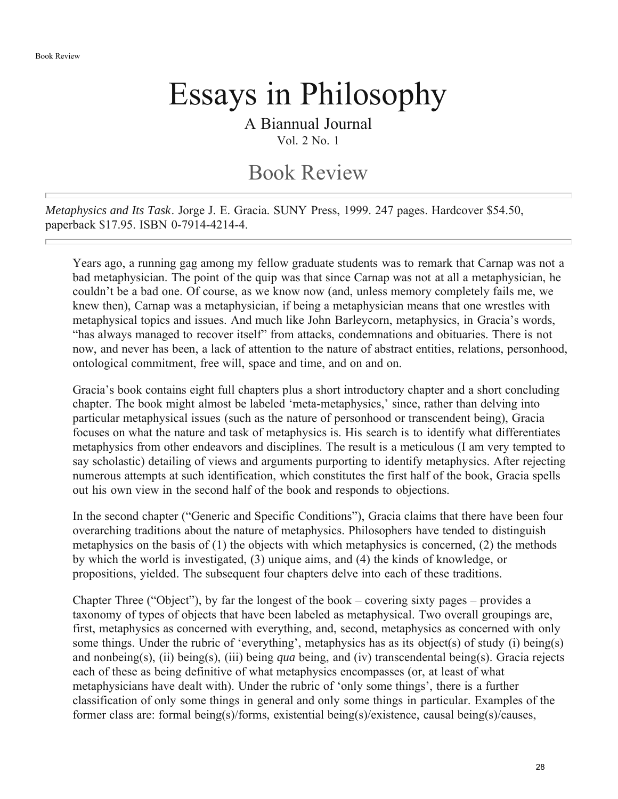## Essays in Philosophy

A Biannual Journal Vol. 2 No. 1

## Book Review

*Metaphysics and Its Task*. Jorge J. E. Gracia. SUNY Press, 1999. 247 pages. Hardcover \$54.50, paperback \$17.95. ISBN 0-7914-4214-4.

Years ago, a running gag among my fellow graduate students was to remark that Carnap was not a bad metaphysician. The point of the quip was that since Carnap was not at all a metaphysician, he couldn't be a bad one. Of course, as we know now (and, unless memory completely fails me, we knew then), Carnap was a metaphysician, if being a metaphysician means that one wrestles with metaphysical topics and issues. And much like John Barleycorn, metaphysics, in Gracia's words, "has always managed to recover itself" from attacks, condemnations and obituaries. There is not now, and never has been, a lack of attention to the nature of abstract entities, relations, personhood, ontological commitment, free will, space and time, and on and on.

Gracia's book contains eight full chapters plus a short introductory chapter and a short concluding chapter. The book might almost be labeled 'meta-metaphysics,' since, rather than delving into particular metaphysical issues (such as the nature of personhood or transcendent being), Gracia focuses on what the nature and task of metaphysics is. His search is to identify what differentiates metaphysics from other endeavors and disciplines. The result is a meticulous (I am very tempted to say scholastic) detailing of views and arguments purporting to identify metaphysics. After rejecting numerous attempts at such identification, which constitutes the first half of the book, Gracia spells out his own view in the second half of the book and responds to objections.

In the second chapter ("Generic and Specific Conditions"), Gracia claims that there have been four overarching traditions about the nature of metaphysics. Philosophers have tended to distinguish metaphysics on the basis of (1) the objects with which metaphysics is concerned, (2) the methods by which the world is investigated, (3) unique aims, and (4) the kinds of knowledge, or propositions, yielded. The subsequent four chapters delve into each of these traditions.

Chapter Three ("Object"), by far the longest of the book – covering sixty pages – provides a taxonomy of types of objects that have been labeled as metaphysical. Two overall groupings are, first, metaphysics as concerned with everything, and, second, metaphysics as concerned with only some things. Under the rubric of 'everything', metaphysics has as its object(s) of study (i) being(s) and nonbeing(s), (ii) being(s), (iii) being *qua* being, and (iv) transcendental being(s). Gracia rejects each of these as being definitive of what metaphysics encompasses (or, at least of what metaphysicians have dealt with). Under the rubric of 'only some things', there is a further classification of only some things in general and only some things in particular. Examples of the former class are: formal being(s)/forms, existential being(s)/existence, causal being(s)/causes,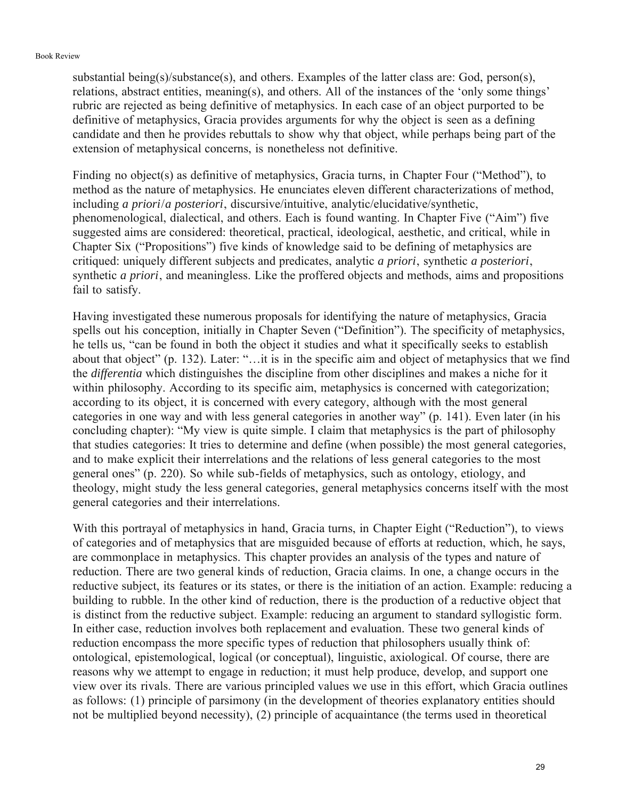substantial being(s)/substance(s), and others. Examples of the latter class are: God, person(s), relations, abstract entities, meaning(s), and others. All of the instances of the 'only some things' rubric are rejected as being definitive of metaphysics. In each case of an object purported to be definitive of metaphysics, Gracia provides arguments for why the object is seen as a defining candidate and then he provides rebuttals to show why that object, while perhaps being part of the extension of metaphysical concerns, is nonetheless not definitive.

Finding no object(s) as definitive of metaphysics, Gracia turns, in Chapter Four ("Method"), to method as the nature of metaphysics. He enunciates eleven different characterizations of method, including *a priori*/*a posteriori*, discursive/intuitive, analytic/elucidative/synthetic, phenomenological, dialectical, and others. Each is found wanting. In Chapter Five ("Aim") five suggested aims are considered: theoretical, practical, ideological, aesthetic, and critical, while in Chapter Six ("Propositions") five kinds of knowledge said to be defining of metaphysics are critiqued: uniquely different subjects and predicates, analytic *a priori*, synthetic *a posteriori*, synthetic *a priori*, and meaningless. Like the proffered objects and methods, aims and propositions fail to satisfy.

Having investigated these numerous proposals for identifying the nature of metaphysics, Gracia spells out his conception, initially in Chapter Seven ("Definition"). The specificity of metaphysics, he tells us, "can be found in both the object it studies and what it specifically seeks to establish about that object" (p. 132). Later: "…it is in the specific aim and object of metaphysics that we find the *differentia* which distinguishes the discipline from other disciplines and makes a niche for it within philosophy. According to its specific aim, metaphysics is concerned with categorization; according to its object, it is concerned with every category, although with the most general categories in one way and with less general categories in another way" (p. 141). Even later (in his concluding chapter): "My view is quite simple. I claim that metaphysics is the part of philosophy that studies categories: It tries to determine and define (when possible) the most general categories, and to make explicit their interrelations and the relations of less general categories to the most general ones" (p. 220). So while sub-fields of metaphysics, such as ontology, etiology, and theology, might study the less general categories, general metaphysics concerns itself with the most general categories and their interrelations.

With this portrayal of metaphysics in hand, Gracia turns, in Chapter Eight ("Reduction"), to views of categories and of metaphysics that are misguided because of efforts at reduction, which, he says, are commonplace in metaphysics. This chapter provides an analysis of the types and nature of reduction. There are two general kinds of reduction, Gracia claims. In one, a change occurs in the reductive subject, its features or its states, or there is the initiation of an action. Example: reducing a building to rubble. In the other kind of reduction, there is the production of a reductive object that is distinct from the reductive subject. Example: reducing an argument to standard syllogistic form. In either case, reduction involves both replacement and evaluation. These two general kinds of reduction encompass the more specific types of reduction that philosophers usually think of: ontological, epistemological, logical (or conceptual), linguistic, axiological. Of course, there are reasons why we attempt to engage in reduction; it must help produce, develop, and support one view over its rivals. There are various principled values we use in this effort, which Gracia outlines as follows: (1) principle of parsimony (in the development of theories explanatory entities should not be multiplied beyond necessity), (2) principle of acquaintance (the terms used in theoretical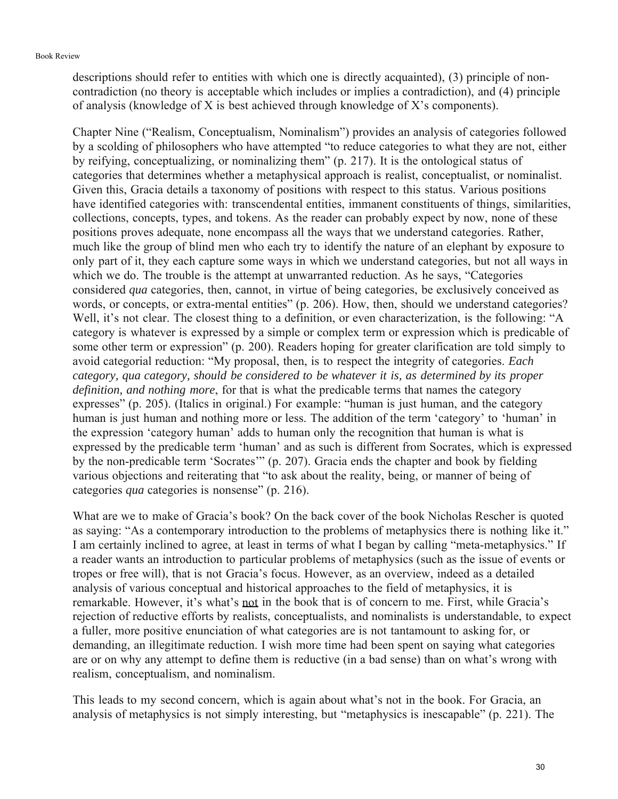## Book Review

descriptions should refer to entities with which one is directly acquainted), (3) principle of noncontradiction (no theory is acceptable which includes or implies a contradiction), and (4) principle of analysis (knowledge of X is best achieved through knowledge of X's components).

Chapter Nine ("Realism, Conceptualism, Nominalism") provides an analysis of categories followed by a scolding of philosophers who have attempted "to reduce categories to what they are not, either by reifying, conceptualizing, or nominalizing them" (p. 217). It is the ontological status of categories that determines whether a metaphysical approach is realist, conceptualist, or nominalist. Given this, Gracia details a taxonomy of positions with respect to this status. Various positions have identified categories with: transcendental entities, immanent constituents of things, similarities, collections, concepts, types, and tokens. As the reader can probably expect by now, none of these positions proves adequate, none encompass all the ways that we understand categories. Rather, much like the group of blind men who each try to identify the nature of an elephant by exposure to only part of it, they each capture some ways in which we understand categories, but not all ways in which we do. The trouble is the attempt at unwarranted reduction. As he says, "Categories considered *qua* categories, then, cannot, in virtue of being categories, be exclusively conceived as words, or concepts, or extra-mental entities" (p. 206). How, then, should we understand categories? Well, it's not clear. The closest thing to a definition, or even characterization, is the following: "A category is whatever is expressed by a simple or complex term or expression which is predicable of some other term or expression" (p. 200). Readers hoping for greater clarification are told simply to avoid categorial reduction: "My proposal, then, is to respect the integrity of categories. *Each category, qua category, should be considered to be whatever it is, as determined by its proper definition, and nothing more*, for that is what the predicable terms that names the category expresses" (p. 205). (Italics in original.) For example: "human is just human, and the category human is just human and nothing more or less. The addition of the term 'category' to 'human' in the expression 'category human' adds to human only the recognition that human is what is expressed by the predicable term 'human' and as such is different from Socrates, which is expressed by the non-predicable term 'Socrates'" (p. 207). Gracia ends the chapter and book by fielding various objections and reiterating that "to ask about the reality, being, or manner of being of categories *qua* categories is nonsense" (p. 216).

What are we to make of Gracia's book? On the back cover of the book Nicholas Rescher is quoted as saying: "As a contemporary introduction to the problems of metaphysics there is nothing like it." I am certainly inclined to agree, at least in terms of what I began by calling "meta-metaphysics." If a reader wants an introduction to particular problems of metaphysics (such as the issue of events or tropes or free will), that is not Gracia's focus. However, as an overview, indeed as a detailed analysis of various conceptual and historical approaches to the field of metaphysics, it is remarkable. However, it's what's not in the book that is of concern to me. First, while Gracia's rejection of reductive efforts by realists, conceptualists, and nominalists is understandable, to expect a fuller, more positive enunciation of what categories are is not tantamount to asking for, or demanding, an illegitimate reduction. I wish more time had been spent on saying what categories are or on why any attempt to define them is reductive (in a bad sense) than on what's wrong with realism, conceptualism, and nominalism.

This leads to my second concern, which is again about what's not in the book. For Gracia, an analysis of metaphysics is not simply interesting, but "metaphysics is inescapable" (p. 221). The